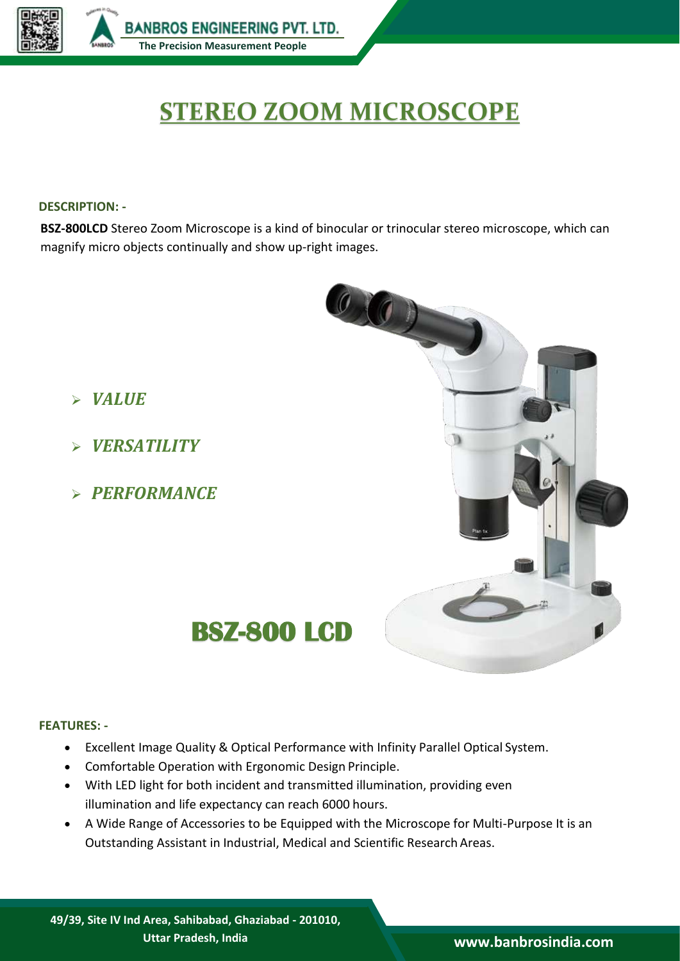

# **STEREO ZOOM MICROSCOPE**

## **DESCRIPTION: -**

**BSZ-800LCD** Stereo Zoom Microscope is a kind of binocular or trinocular stereo microscope, which can magnify micro objects continually and show up-right images.



- *VERSATILITY*
- *PERFORMANCE*



# **FEATURES: -**

- Excellent Image Quality & Optical Performance with Infinity Parallel Optical System.
- Comfortable Operation with Ergonomic Design Principle.
- With LED light for both incident and transmitted illumination, providing even illumination and life expectancy can reach 6000 hours.
- A Wide Range of Accessories to be Equipped with the Microscope for Multi-Purpose It is an Outstanding Assistant in Industrial, Medical and Scientific Research Areas.